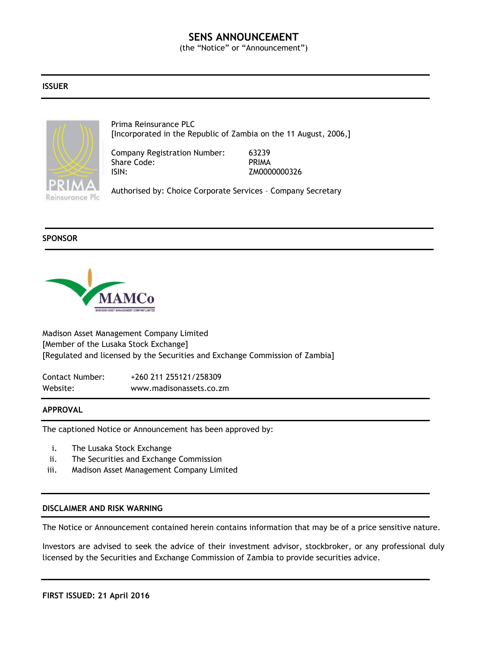# **SENS ANNOUNCEMENT**

(the "Notice" or "Announcement")

#### **ISSUER**



Prima Reinsurance PLC [Incorporated in the Republic of Zambia on the 11 August, 2006,]

Company Registration Number: 63239 Share Code: PRIMA ISIN: ZM0000000326

Authorised by: Choice Corporate Services – Company Secretary

### **SPONSOR**



Madison Asset Management Company Limited [Member of the Lusaka Stock Exchange] [Regulated and licensed by the Securities and Exchange Commission of Zambia]

Contact Number: +260 211 255121/258309 Website: www.madisonassets.co.zm

#### **APPROVAL**

The captioned Notice or Announcement has been approved by:

- i. The Lusaka Stock Exchange
- ii. The Securities and Exchange Commission
- iii. Madison Asset Management Company Limited

#### **DISCLAIMER AND RISK WARNING**

The Notice or Announcement contained herein contains information that may be of a price sensitive nature.

Investors are advised to seek the advice of their investment advisor, stockbroker, or any professional duly licensed by the Securities and Exchange Commission of Zambia to provide securities advice.